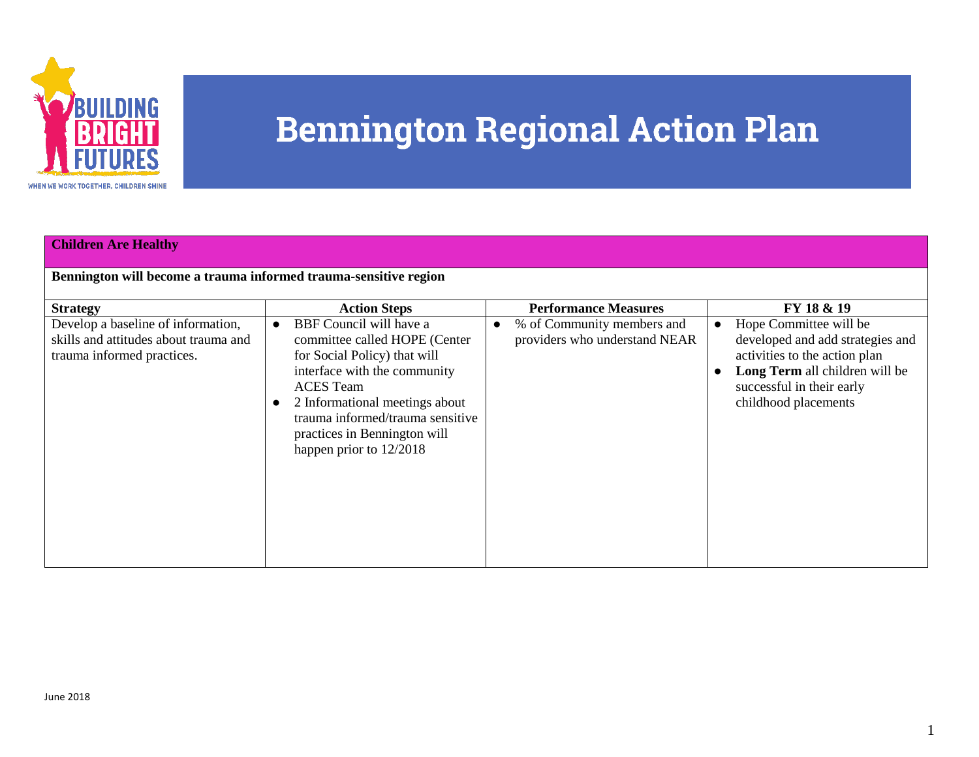

| <b>Children Are Healthy</b><br>Bennington will become a trauma informed trauma-sensitive region                              |                                                                                                                                                                                                                                                                                                        |                                                                                                         |                                                                                                                                                                                                               |  |
|------------------------------------------------------------------------------------------------------------------------------|--------------------------------------------------------------------------------------------------------------------------------------------------------------------------------------------------------------------------------------------------------------------------------------------------------|---------------------------------------------------------------------------------------------------------|---------------------------------------------------------------------------------------------------------------------------------------------------------------------------------------------------------------|--|
| <b>Strategy</b><br>Develop a baseline of information,<br>skills and attitudes about trauma and<br>trauma informed practices. | <b>Action Steps</b><br>BBF Council will have a<br>committee called HOPE (Center<br>for Social Policy) that will<br>interface with the community<br><b>ACES</b> Team<br>2 Informational meetings about<br>trauma informed/trauma sensitive<br>practices in Bennington will<br>happen prior to $12/2018$ | <b>Performance Measures</b><br>% of Community members and<br>$\bullet$<br>providers who understand NEAR | FY 18 & 19<br>Hope Committee will be<br>$\bullet$<br>developed and add strategies and<br>activities to the action plan<br>Long Term all children will be<br>successful in their early<br>childhood placements |  |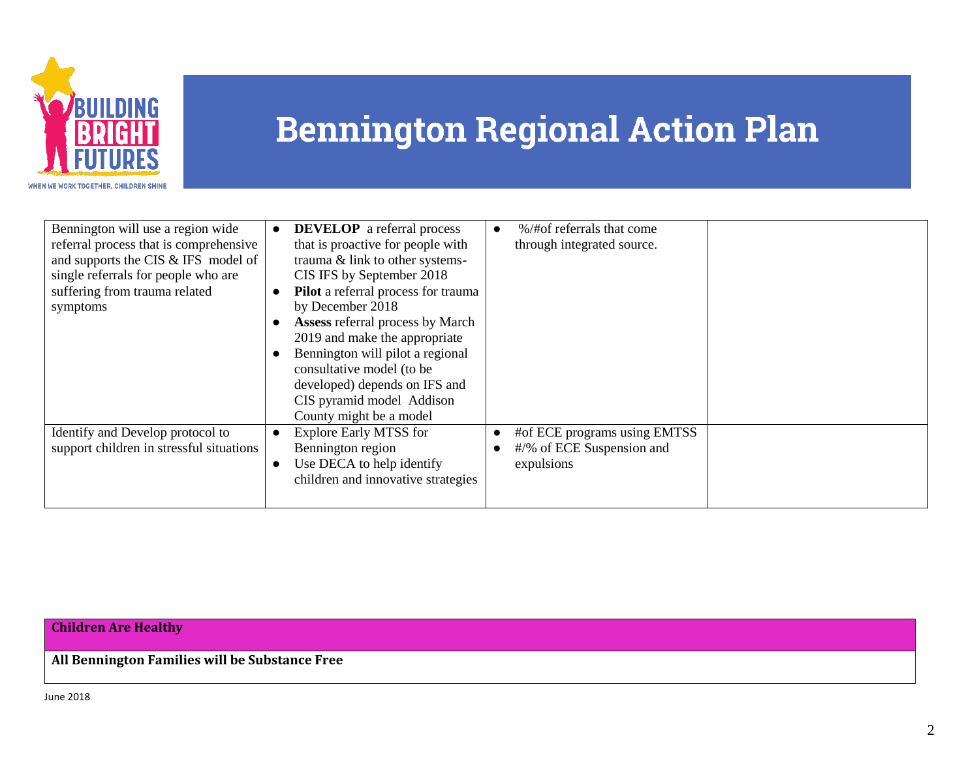

| Bennington will use a region wide        | <b>DEVELOP</b> a referral process<br>$\bullet$ | %/#of referrals that come    |
|------------------------------------------|------------------------------------------------|------------------------------|
| referral process that is comprehensive   | that is proactive for people with              | through integrated source.   |
| and supports the CIS & IFS model of      | trauma & link to other systems-                |                              |
| single referrals for people who are      | CIS IFS by September 2018                      |                              |
| suffering from trauma related            | Pilot a referral process for trauma            |                              |
| symptoms                                 | by December 2018                               |                              |
|                                          | <b>Assess referral process by March</b>        |                              |
|                                          | 2019 and make the appropriate                  |                              |
|                                          | Bennington will pilot a regional               |                              |
|                                          | consultative model (to be                      |                              |
|                                          | developed) depends on IFS and                  |                              |
|                                          | CIS pyramid model Addison                      |                              |
|                                          | County might be a model                        |                              |
| Identify and Develop protocol to         | <b>Explore Early MTSS for</b><br>$\bullet$     | #of ECE programs using EMTSS |
| support children in stressful situations | Bennington region                              | #/% of ECE Suspension and    |
|                                          | Use DECA to help identify<br>$\bullet$         | expulsions                   |
|                                          | children and innovative strategies             |                              |
|                                          |                                                |                              |

### **Children Are Healthy**

**All Bennington Families will be Substance Free**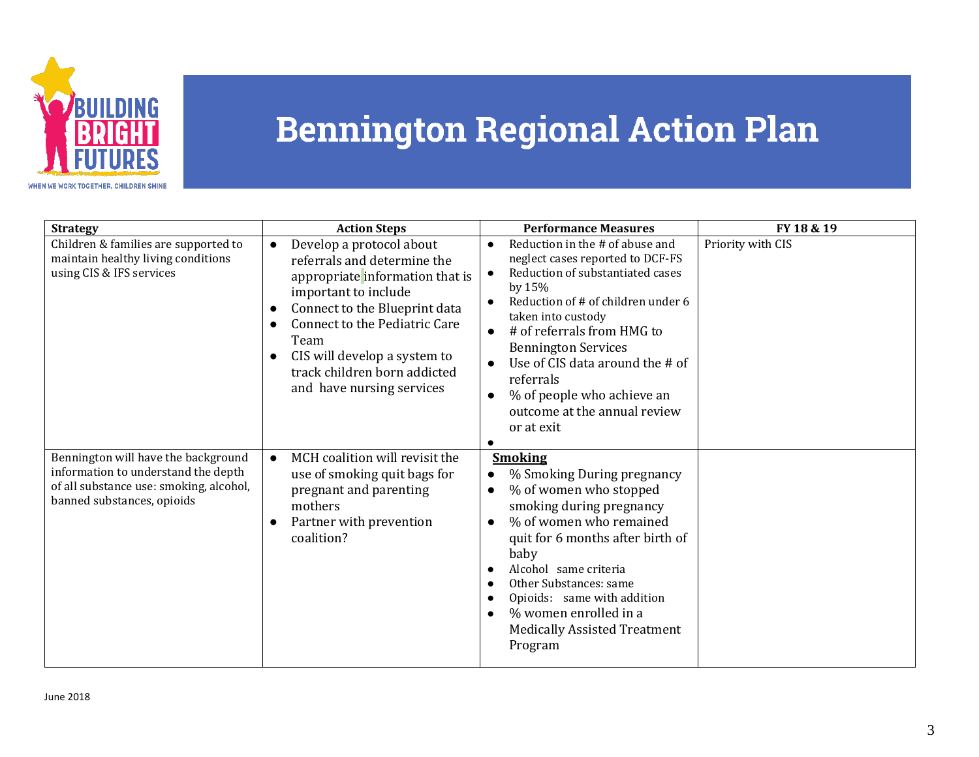

| <b>Strategy</b>                                                                                                                                     | <b>Action Steps</b>                                                                                                                                                                                                                                                                              | <b>Performance Measures</b>                                                                                                                                                                                                                                                                                                                                                                                                 | FY 18 & 19        |
|-----------------------------------------------------------------------------------------------------------------------------------------------------|--------------------------------------------------------------------------------------------------------------------------------------------------------------------------------------------------------------------------------------------------------------------------------------------------|-----------------------------------------------------------------------------------------------------------------------------------------------------------------------------------------------------------------------------------------------------------------------------------------------------------------------------------------------------------------------------------------------------------------------------|-------------------|
| Children & families are supported to<br>maintain healthy living conditions<br>using CIS & IFS services                                              | Develop a protocol about<br>referrals and determine the<br>appropriate information that is<br>important to include<br>Connect to the Blueprint data<br><b>Connect to the Pediatric Care</b><br>Team<br>CIS will develop a system to<br>track children born addicted<br>and have nursing services | Reduction in the # of abuse and<br>$\bullet$<br>neglect cases reported to DCF-FS<br>Reduction of substantiated cases<br>$\bullet$<br>by $15%$<br>Reduction of # of children under 6<br>taken into custody<br># of referrals from HMG to<br>$\bullet$<br><b>Bennington Services</b><br>Use of CIS data around the # of<br>referrals<br>% of people who achieve an<br>$\bullet$<br>outcome at the annual review<br>or at exit | Priority with CIS |
| Bennington will have the background<br>information to understand the depth<br>of all substance use: smoking, alcohol,<br>banned substances, opioids | MCH coalition will revisit the<br>$\bullet$<br>use of smoking quit bags for<br>pregnant and parenting<br>mothers<br>Partner with prevention<br>coalition?                                                                                                                                        | <b>Smoking</b><br>% Smoking During pregnancy<br>% of women who stopped<br>$\bullet$<br>smoking during pregnancy<br>% of women who remained<br>$\bullet$<br>quit for 6 months after birth of<br>baby<br>Alcohol same criteria<br>Other Substances: same<br>Opioids: same with addition<br>% women enrolled in a<br><b>Medically Assisted Treatment</b><br>Program                                                            |                   |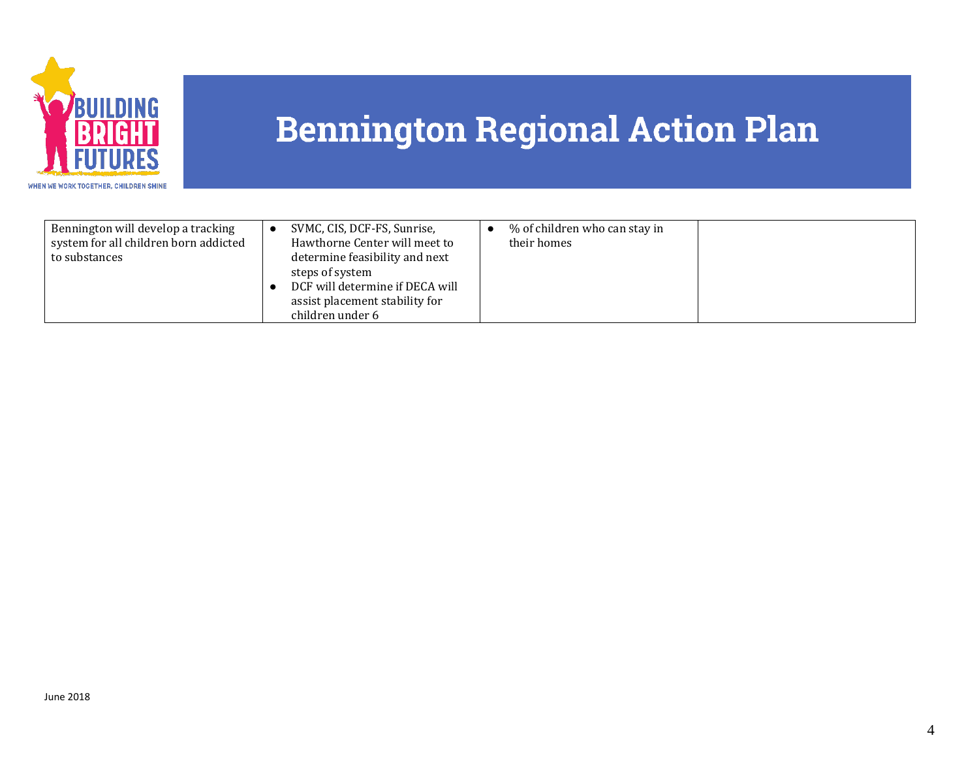

| Bennington will develop a tracking<br>system for all children born addicted<br>to substances | SVMC, CIS, DCF-FS, Sunrise,<br>Hawthorne Center will meet to<br>determine feasibility and next<br>steps of system<br>DCF will determine if DECA will<br>assist placement stability for<br>children under 6 | % of children who can stay in<br>their homes |  |
|----------------------------------------------------------------------------------------------|------------------------------------------------------------------------------------------------------------------------------------------------------------------------------------------------------------|----------------------------------------------|--|
|----------------------------------------------------------------------------------------------|------------------------------------------------------------------------------------------------------------------------------------------------------------------------------------------------------------|----------------------------------------------|--|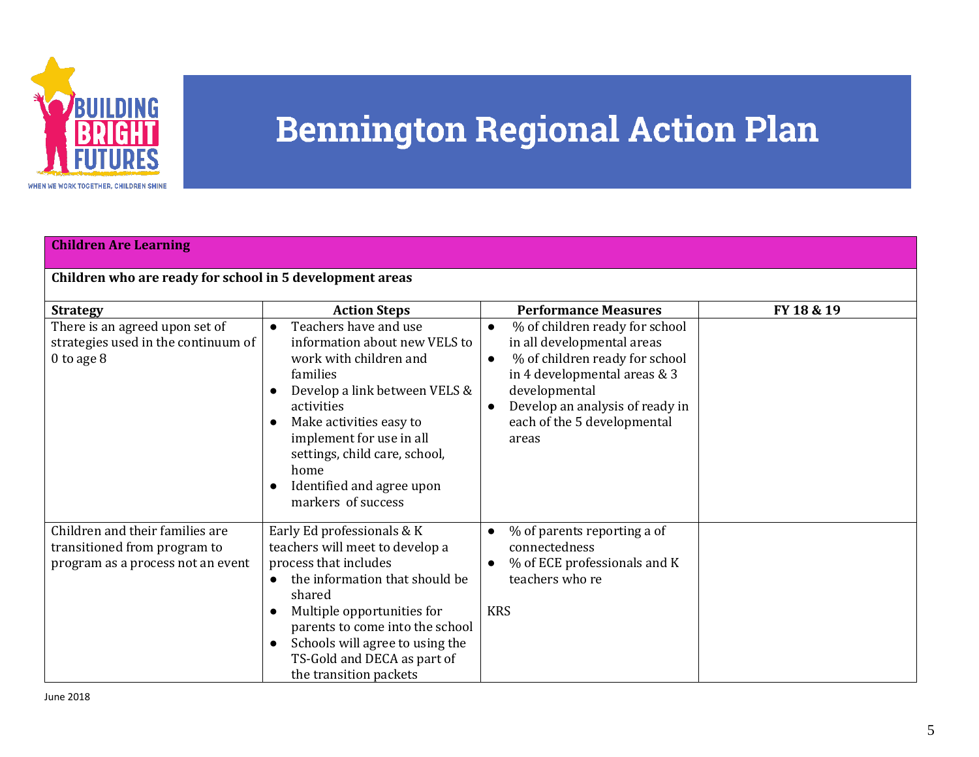

| <b>Children Are Learning</b>                                                                           |                                                                                                                                                                                                                                                                                                                                        |                                                                                                                                                                                                                                                                                                  |            |  |
|--------------------------------------------------------------------------------------------------------|----------------------------------------------------------------------------------------------------------------------------------------------------------------------------------------------------------------------------------------------------------------------------------------------------------------------------------------|--------------------------------------------------------------------------------------------------------------------------------------------------------------------------------------------------------------------------------------------------------------------------------------------------|------------|--|
| Children who are ready for school in 5 development areas                                               |                                                                                                                                                                                                                                                                                                                                        |                                                                                                                                                                                                                                                                                                  |            |  |
| <b>Strategy</b><br>There is an agreed upon set of<br>strategies used in the continuum of<br>0 to age 8 | <b>Action Steps</b><br>Teachers have and use<br>information about new VELS to<br>work with children and<br>families<br>Develop a link between VELS &<br>activities<br>Make activities easy to<br>implement for use in all<br>settings, child care, school,<br>home<br>Identified and agree upon<br>$\bullet$<br>markers of success     | <b>Performance Measures</b><br>% of children ready for school<br>$\bullet$<br>in all developmental areas<br>% of children ready for school<br>$\bullet$<br>in 4 developmental areas & 3<br>developmental<br>Develop an analysis of ready in<br>$\bullet$<br>each of the 5 developmental<br>areas | FY 18 & 19 |  |
| Children and their families are<br>transitioned from program to<br>program as a process not an event   | Early Ed professionals & K<br>teachers will meet to develop a<br>process that includes<br>the information that should be<br>$\bullet$<br>shared<br>Multiple opportunities for<br>$\bullet$<br>parents to come into the school<br>Schools will agree to using the<br>$\bullet$<br>TS-Gold and DECA as part of<br>the transition packets | % of parents reporting a of<br>$\bullet$<br>connectedness<br>% of ECE professionals and K<br>$\bullet$<br>teachers who re<br><b>KRS</b>                                                                                                                                                          |            |  |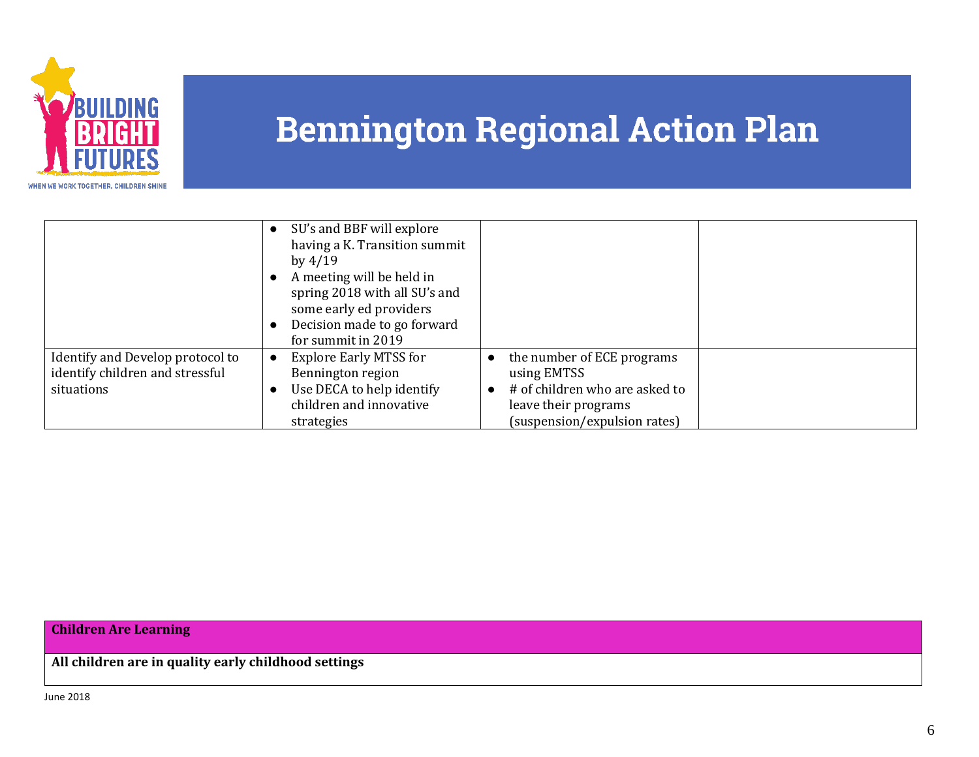

|                                  | SU's and BBF will explore<br>having a K. Transition summit |                                |  |
|----------------------------------|------------------------------------------------------------|--------------------------------|--|
|                                  | by $4/19$                                                  |                                |  |
|                                  | A meeting will be held in                                  |                                |  |
|                                  | spring 2018 with all SU's and<br>some early ed providers   |                                |  |
|                                  | Decision made to go forward                                |                                |  |
|                                  | for summit in 2019                                         |                                |  |
| Identify and Develop protocol to | <b>Explore Early MTSS for</b>                              | the number of ECE programs     |  |
| identify children and stressful  | Bennington region                                          | using EMTSS                    |  |
| situations                       | Use DECA to help identify                                  | # of children who are asked to |  |
|                                  | children and innovative                                    | leave their programs           |  |
|                                  | strategies                                                 | (suspension/expulsion rates)   |  |

#### **Children Are Learning**

**All children are in quality early childhood settings**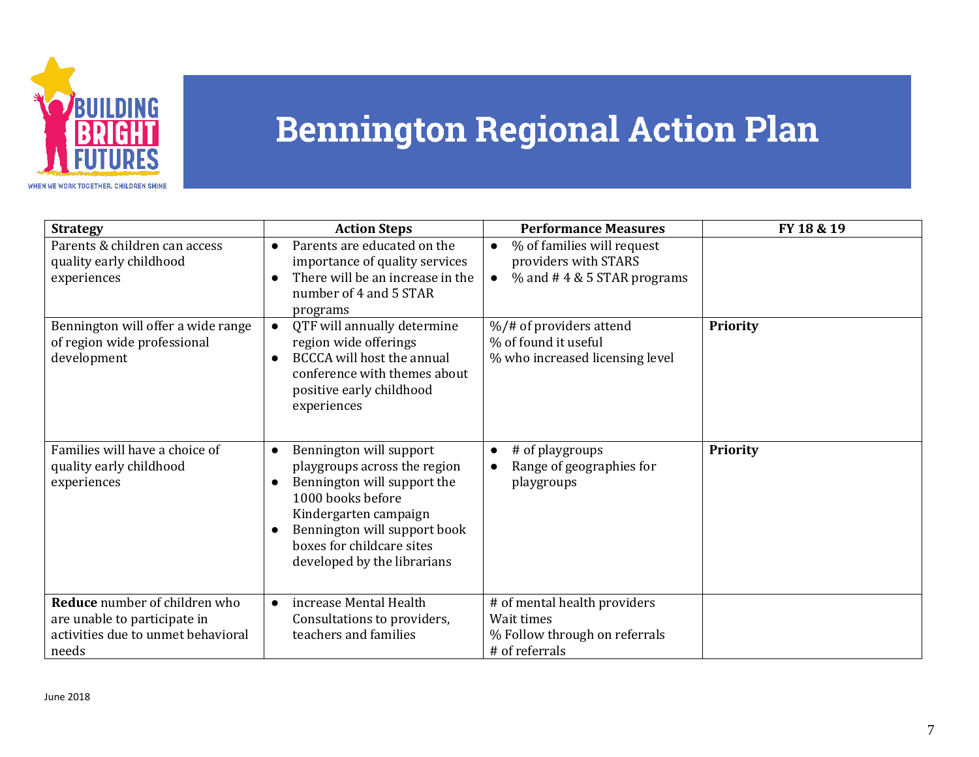

| <b>Strategy</b>                                                                                              | <b>Action Steps</b>                                                                                                                                                                                                                                                     | <b>Performance Measures</b>                                                                                  | FY 18 & 19      |
|--------------------------------------------------------------------------------------------------------------|-------------------------------------------------------------------------------------------------------------------------------------------------------------------------------------------------------------------------------------------------------------------------|--------------------------------------------------------------------------------------------------------------|-----------------|
| Parents & children can access<br>quality early childhood<br>experiences                                      | Parents are educated on the<br>$\bullet$<br>importance of quality services<br>There will be an increase in the<br>$\bullet$                                                                                                                                             | % of families will request<br>$\bullet$<br>providers with STARS<br>$%$ and #4 & 5 STAR programs<br>$\bullet$ |                 |
|                                                                                                              | number of 4 and 5 STAR<br>programs                                                                                                                                                                                                                                      |                                                                                                              |                 |
| Bennington will offer a wide range<br>of region wide professional<br>development                             | QTF will annually determine<br>$\bullet$<br>region wide offerings<br><b>BCCCA</b> will host the annual<br>$\bullet$<br>conference with themes about<br>positive early childhood<br>experiences                                                                          | %/# of providers attend<br>% of found it useful<br>% who increased licensing level                           | <b>Priority</b> |
| Families will have a choice of<br>quality early childhood<br>experiences                                     | Bennington will support<br>$\bullet$<br>playgroups across the region<br>Bennington will support the<br>$\bullet$<br>1000 books before<br>Kindergarten campaign<br>Bennington will support book<br>$\bullet$<br>boxes for childcare sites<br>developed by the librarians | # of playgroups<br>Range of geographies for<br>playgroups                                                    | <b>Priority</b> |
| Reduce number of children who<br>are unable to participate in<br>activities due to unmet behavioral<br>needs | increase Mental Health<br>Consultations to providers,<br>teachers and families                                                                                                                                                                                          | # of mental health providers<br>Wait times<br>% Follow through on referrals<br># of referrals                |                 |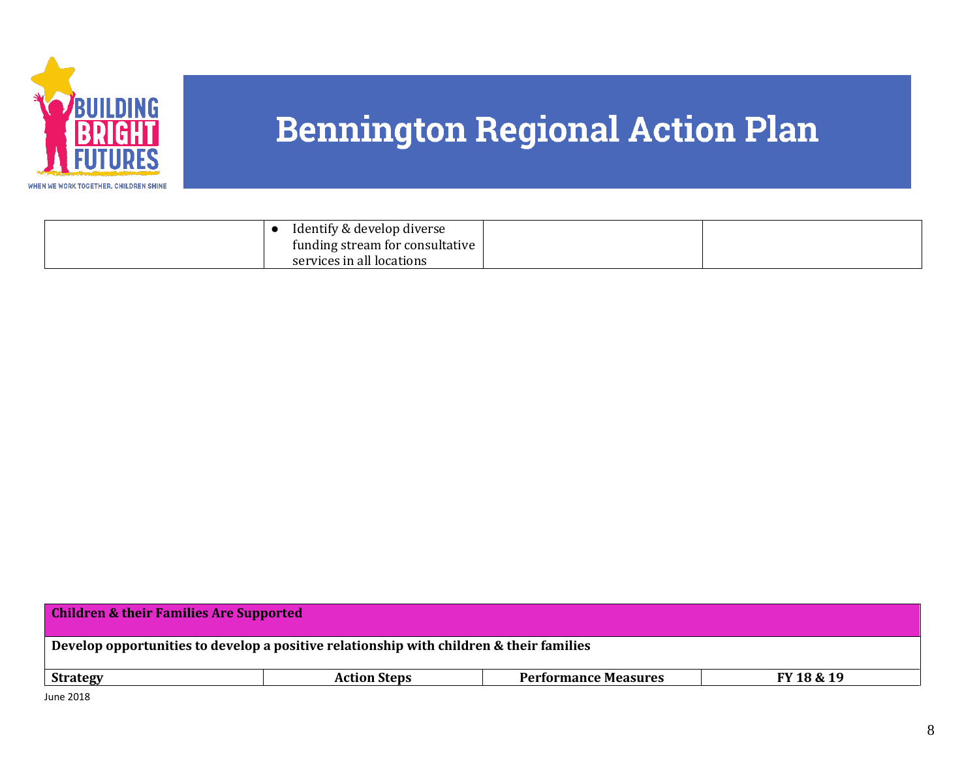

| Identify & develop diverse      |  |
|---------------------------------|--|
| funding stream for consultative |  |
| services in all locations       |  |

| <b>Children &amp; their Families Are Supported</b>                                      |  |  |  |  |
|-----------------------------------------------------------------------------------------|--|--|--|--|
| Develop opportunities to develop a positive relationship with children & their families |  |  |  |  |
| <b>Performance Measures</b><br>FY 18 & 19<br><b>Action Steps</b><br><b>Strategy</b>     |  |  |  |  |